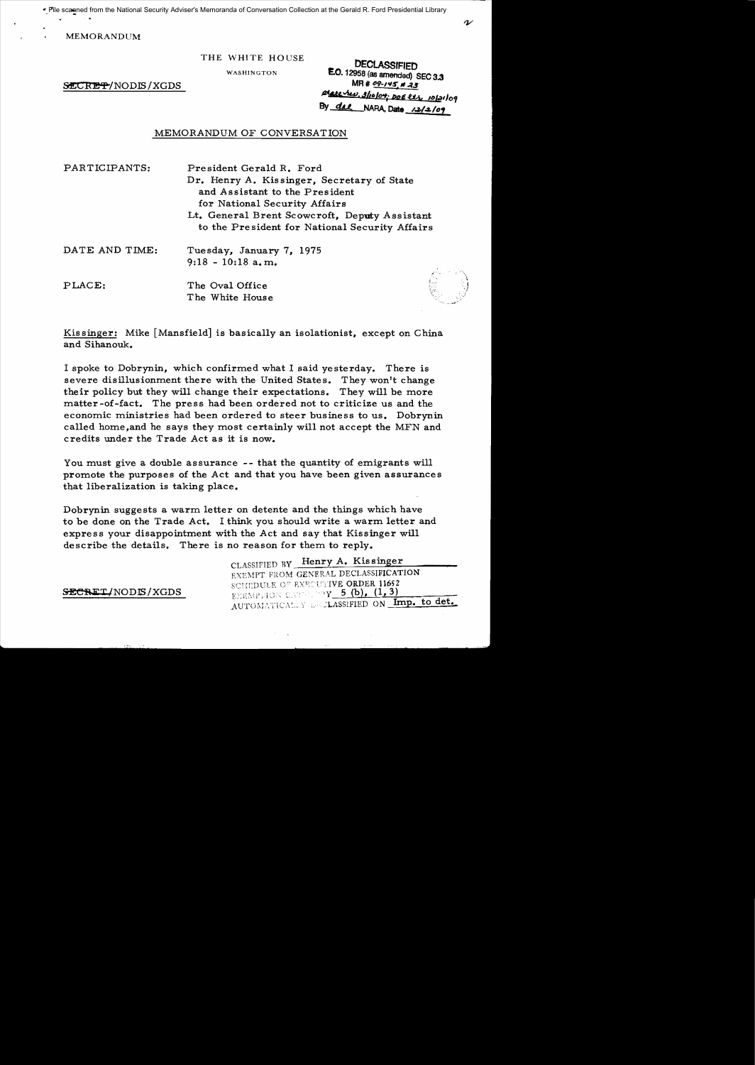File scanned from the National Security Adviser's Memoranda of Conversation Collection at the Gerald R. Ford Presidential Library

MEMORANDUM

 $/$ *SECRET*/NODIS/XGDS

THE WHITE HOUSE<br>WASHINGTON **E.O.** 12958 (at a manufacturer) **E.O.** 12958 (as amended) SEC 3.3<br>MR #  $09-145$  # 23 place rue, 3/10/04; DOE eth 10/21/09 By  $del$  NARA, Date  $/2/2/09$ 

## MEMORANDUM OF CONVERSATION

| PARTICIPANTS:  | President Gerald R. Ford                       |
|----------------|------------------------------------------------|
|                | Dr. Henry A. Kissinger, Secretary of State     |
|                | and Assistant to the President                 |
|                | for National Security Affairs                  |
|                | Lt. General Brent Scowcroft, Deputy Assistant  |
|                | to the President for National Security Affairs |
| DATE AND TIME: | Tuesday, January 7, 1975                       |
|                | $9:18 - 10:18$ a.m.                            |
| PLACE:         | The Oval Office                                |
|                | The White House                                |

Kissinger: Mike [Mansfield] is basically an isolationist, except on China and Sihanouk.

I spoke to Dobrynin, which confirmed what I said yesterday. There is severe disillusionment there with the United States. They won't change their policy but they will change their expectations. They will be more matter-of-fact. The press had been ordered not to criticize us and the economic ministries had been ordered to steer business to us. Dobrynin called home,and he says they most certainly will not accept the MFN and credits under the Trade Act as it is now.

You must give a double assurance -- that the quantity of emigrants will promote the purposes of the Act and that you have been given assurances that liberalization is taking place.

Dobrynin suggests a warm letter on detente and the things which have to be done on the Trade Act. I think you should write a warm letter and express your disappointment with the Act and say that Kissinger will describe the details. There is no reason for them to reply.

CLASSIFIED BY Henry A. Kissinger EXEMPT FROM GENERAL DECLASSIFICATION SCHEDULE OF EXECUTIVE ORDER 11652  $\frac{\text{SECRET/NODIS/XGDS}}{E \times EMP_1 \text{ION CNOT}}$  , (b), (1, 3) AUTOMATICALLY DECLASSIFIED ON Imp. to det.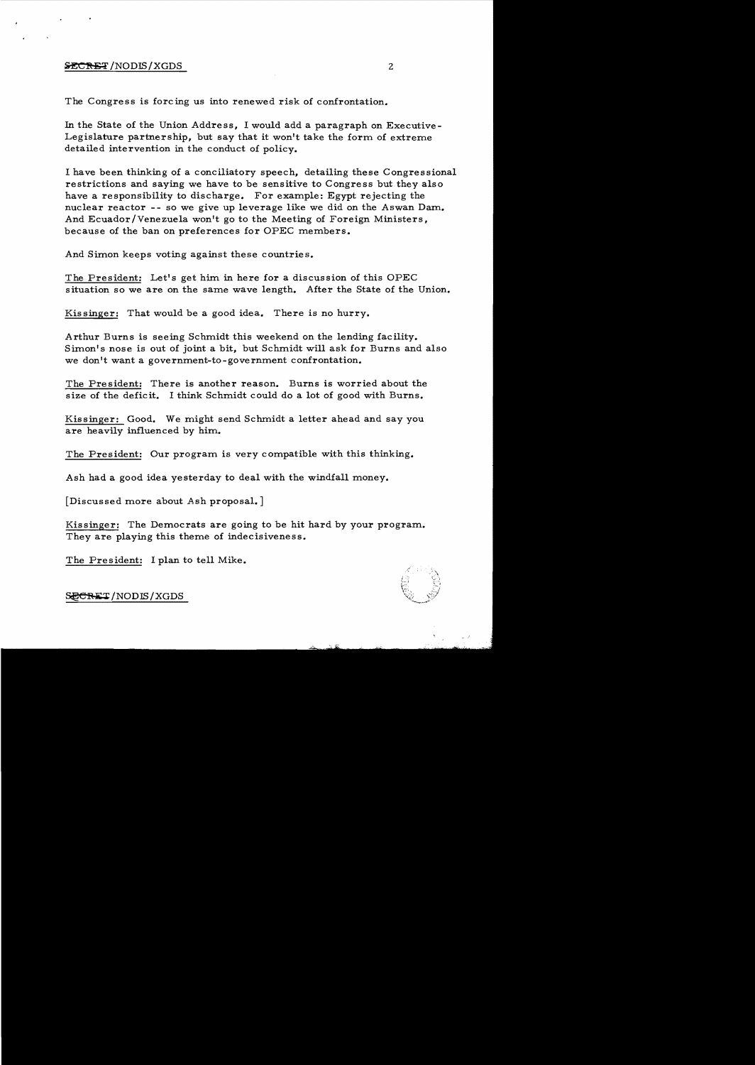# $\frac{1}{2}$   $\frac{1}{2}$   $\frac{1}{2}$   $\frac{1}{2}$   $\frac{1}{2}$   $\frac{1}{2}$   $\frac{1}{2}$   $\frac{1}{2}$   $\frac{1}{2}$   $\frac{1}{2}$   $\frac{1}{2}$   $\frac{1}{2}$   $\frac{1}{2}$   $\frac{1}{2}$   $\frac{1}{2}$   $\frac{1}{2}$   $\frac{1}{2}$   $\frac{1}{2}$   $\frac{1}{2}$   $\frac{1}{2}$   $\frac{1}{2}$   $\frac{1}{2}$

The Congress is forcing us into renewed risk of confrontation.

In the State of the Union Address, I would add a paragraph on Executive-Legislature partnership, but say that it won't take the form of extreme detailed intervention in the conduct of policy.

I have been thinking of a conciliatory speech, detailing these Congressional restrictions and saying we have to be sensitive to Congress but they also have a responsibility to discharge. For example: Egypt rejecting the nuclear reactor -- so we give up leverage like we did on the Aswan Dam. And Ecuador/Venezuela won't go to the Meeting of Foreign Ministers, because of the ban on preferences for OPEC members.

And Simon keeps voting against these countries.

The President: Let's get him in here for a discussion of this OPEC situation so we are on the same wave length. After the State of the Union.

Kissinger: That would be a good idea. There is no hurry.

Arthur Burns is seeing Schmidt this weekend on the lending facility. Simon's nose is out of joint a bit, but Schmidt will ask for Burns and also we don't want a government-to-government confrontation.

The President: There is another reason. Burns is worried about the size of the deficit. I think Schmidt could do a lot of good with Burns.

Kissinger: Good. We might send Schmidt a letter ahead and say you are heavily influenced by him.

The President: Our program is very compatible with this thinking.

Ash had a good idea yesterday to deal with the windfall money.

[Discussed more about Ash proposal.]

Kissinger: The Democrats are going to be hit hard by your program. They are playing this theme of indecisiveness.

The President: I plan to tell Mike.



SECRET/NODIS/XGDS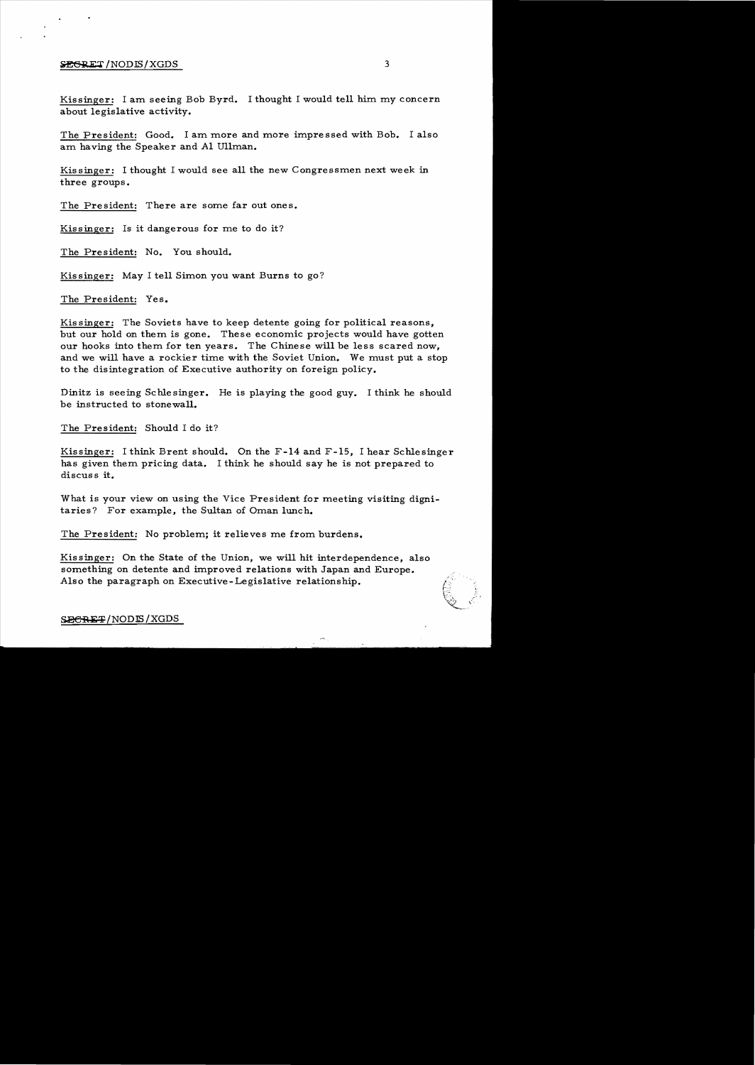### $\frac{1}{2}$   $\frac{1}{2}$   $\frac{1}{2}$   $\frac{1}{2}$   $\frac{1}{2}$   $\frac{1}{2}$   $\frac{1}{2}$   $\frac{1}{2}$   $\frac{1}{2}$   $\frac{1}{2}$   $\frac{1}{2}$   $\frac{1}{2}$   $\frac{1}{2}$   $\frac{1}{2}$   $\frac{1}{2}$   $\frac{1}{2}$   $\frac{1}{2}$   $\frac{1}{2}$   $\frac{1}{2}$   $\frac{1}{2}$   $\frac{1}{2}$   $\frac{1}{2}$

Kissinger: I am seeing Bob Byrd. I thought I would tell him my concern about legislative activity.

The President: Good. I am more and more impressed with Bob. I also am having the Speaker and Al Ullman.

Kissinger: I thought I would see all the new Congressmen next week in three groups.

The President: There are some far out ones.

Kissinger: Is it dangerous for me to do it?

The President: No. You should.

Kissinger: May I tell Simon you want Burns to go?

The President: Yes.

Kissinger: The Soviets have to keep detente going for political reasons, but our hold on them is gone. These economic projects would have gotten our hooks into them for ten years. The Chinese will be less scared now, and we will have a rockier time with the Soviet Union. We must put a stop to the disintegration of Executive authority on foreign policy.

Dinitz is seeing Schlesinger. He is playing the good guy. I think he should be instructed to stonewall.

The President: Should I do it?

Kissinger: I think Brent should. On the F-14 and F-15, I hear Schlesinger has given them pricing data. I think he should say he is not prepared to discuss it.

What is your view on using the Vice President for meeting visiting digni taries? For example, the Sultan of Oman lunch.

The President: No problem; it relieves me from burdens.

Kissinger: On the State of the Union, we will hit interdependence, also something on detente and improved relations with Japan and Europe. Also the paragraph on Executive-Legislative relationship.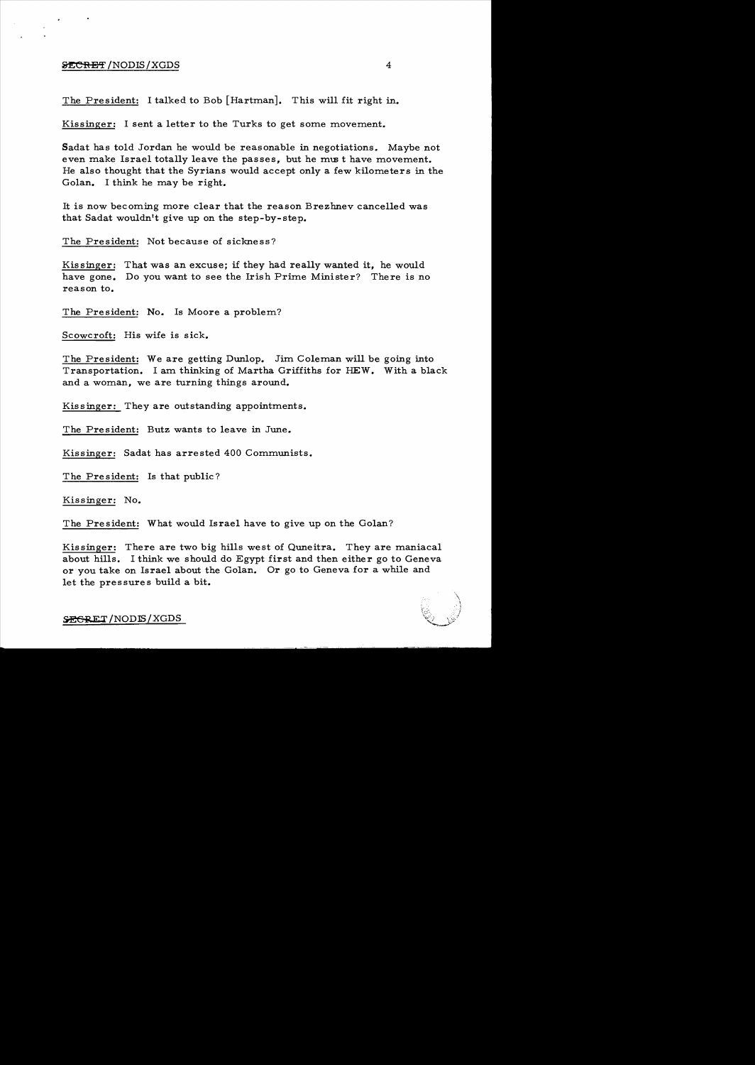#### $\frac{1}{2}$   $\frac{1}{2}$   $\frac{1}{2}$   $\frac{1}{2}$   $\frac{1}{2}$   $\frac{1}{2}$   $\frac{1}{2}$   $\frac{1}{2}$   $\frac{1}{2}$   $\frac{1}{2}$   $\frac{1}{2}$   $\frac{1}{2}$   $\frac{1}{2}$   $\frac{1}{2}$   $\frac{1}{2}$   $\frac{1}{2}$   $\frac{1}{2}$   $\frac{1}{2}$   $\frac{1}{2}$   $\frac{1}{2}$   $\frac{1}{2}$   $\frac{1}{2}$

The President: I talked to Bob [Hartman]. This will fit right in.

Kissinger: I sent a letter to the Turks to get some movement.

Sadat has told Jordan he would be reasonable in negotiations. Maybe not even make Israel totally leave the passes, but he must have movement. He also thought that the Syrians would accept only a few kilometers in the Golan. I think he maybe right.

It is now becoming more clear that the reason Brezhnev cancelled was that Sadat wouldn't give up on the step-by-step.

The President: Not because of sickness?

Kissinger: That was an excuse; if they had really wanted it, he would have gone. Do you want to see the Irish Prime Minister? There is no reason to.

The President: No. Is Moore a problem?

Scowcroft: His wife is sick.

The President: We are getting Dunlop. Jim Coleman will be going into Transportation. I am thinking of Martha Griffiths for HEW. With a black and a woman, we are turning things around.

Kis singer: They are outstanding appointments.

The President: Butz wants to leave in June.

Kissinger: Sadat has arrested 400 Communists.

The President: Is that public?

Kissinger: No.

The President: What would Israel have to give up on the Golan?

Kissinger: There are two big hills west of Quneitra. They are maniacal about hills. I think we should do Egypt first and then either go to Geneva or you take on Israel about the Golan. Or go to Geneva for a while and let the pressures build a bit.

'\ \ ',' c~ " i

 $SEGRET/NODIS/XGDS$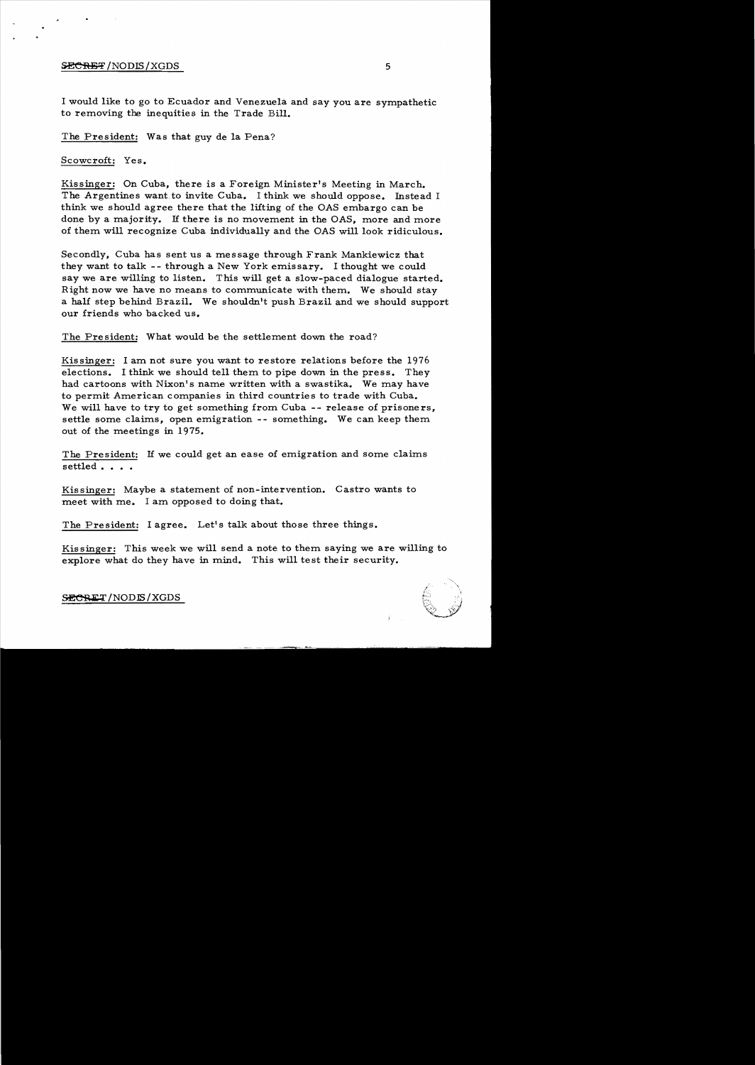### $\overline{\text{SECHBF}}$  /NODIS / XGDS  $^5$

I would like to go to Ecuador and Venezuela and say you are sympathetic to removing the inequities in the Trade Bill.

The President: Was that guy de la Pena?

Scowcroft: Yes.

Kissinger: On Cuba, there is a Foreign Minister's Meeting in March. The Argentines want. to invite Cuba. I think we should oppose. Instead I think we should agree there that the lifting of the OAS embargo can be done by a majority. If there is no movement in the OAS, more and more of them will recognize Cuba individually and the OAS will look ridiculous.

Secondly, Cuba has sent us a message through Frank Mankiewicz that they want to talk -- through a New York emissary. I thought we could say we are willing to listen. This will get a slow-paced dialogue started. Right now we have no means to communicate with them. We should stay a half step behind Brazil. We shouldn't push Brazil and we should support our friends who backed us.

The President: What would be the settlement down the road?

Kissinger: I am not sure you want to restore relations before the 1976 elections. I think we should tell them to pipe down in the press. They had cartoons with Nixon's name written with a swastika. We may have to permit American companies in third countries to trade with Cuba. We will have to try to get something from Cuba -- release of prisoners, settle some claims, open emigration -- something. We can keep them out of the meetings in 1975.

The President: If we could get an ease of emigration and some claims settled . . . .

Kissinger: Maybe a statement of non-intervention. Castro wants to meet with me. I am opposed to doing that.

The President: I agree. Let's talk about those three things.

Kissinger: This week we will send a note to them saying we are willing to explore what do they have in mind. This will test their security.



SECRET/NODIS/XGDS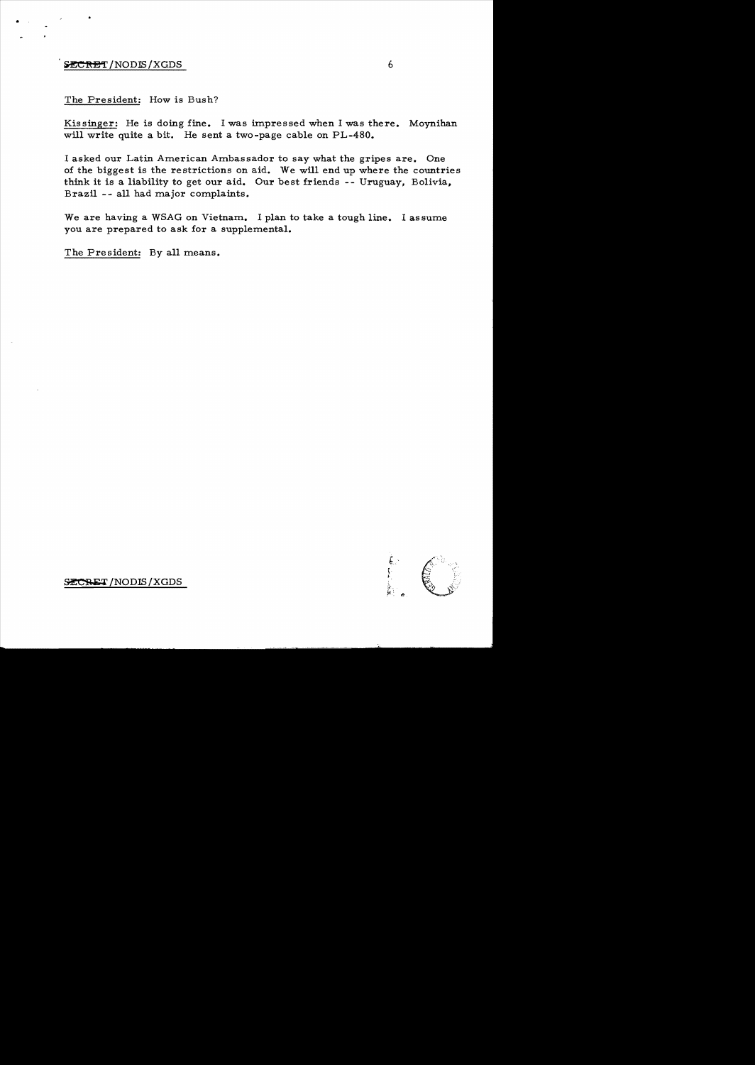# $\frac{1}{2}$   $\frac{1}{2}$  /NODIS/XGDS 6

•

## The President: How is Bush?

Kissinger: He is doing fine. I was impressed when I was there. Moynihan will write quite a bit. He sent a two-page cable on PL-480.

I asked our Latin American Ambassador to say what the gripes are. One of the biggest is the restrictions on aid. We will end up where the countries think it is a liability to get our aid. Our best friends -- Uruguay, Bolivia. Brazil -- all had major complaints.

We are having a WSAG on Vietnam. I plan to take a tough line. I assume you are prepared to ask for a supplemental.

The President: By all means.

i I

SECRET/NODIS/XGDS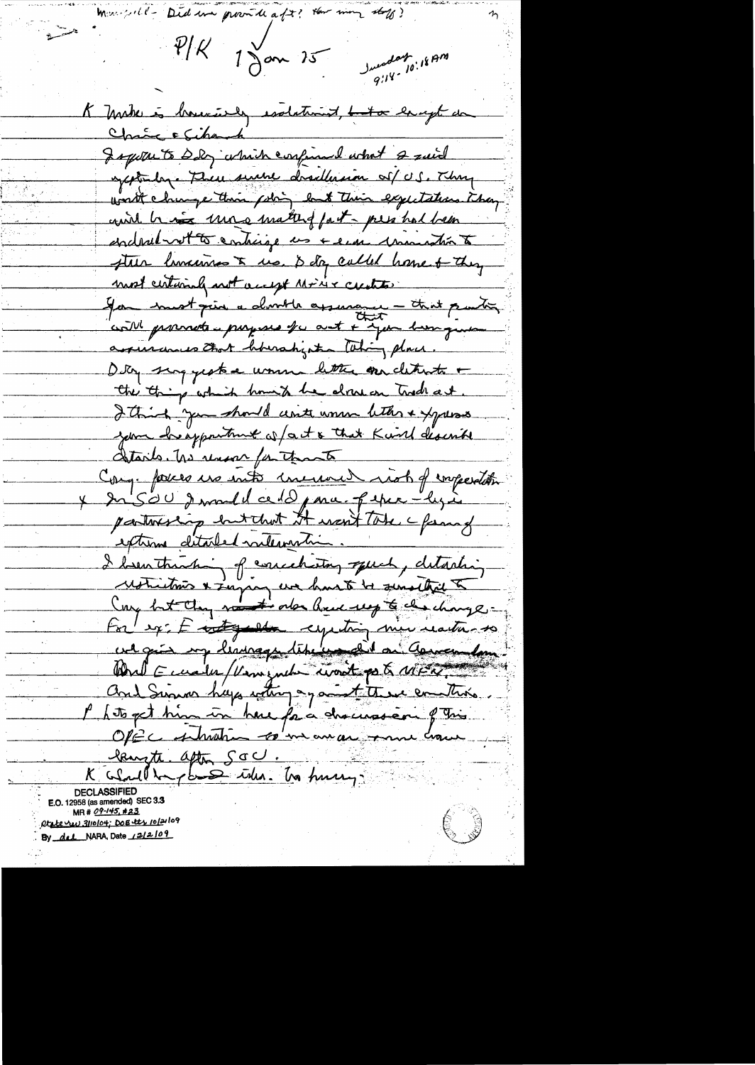Did un provide aft? them man staff?  $P/K$  1 Jan 15 unday 10:18 AM K Make is houriely esolations, <del>be to</del> large da Chance Echanch gapotre to DDG which confirmed what 2 raid apptundence There servere desetterain of U.S. They worth change their poling but Their expectations they and his une matter fait - per hal been enderet to entirge us + era commandin to there humanis & us. & day called home & they most certainly not accept Minix centres Jan must prin a dont le apperance - that partir cont promote purposes for ant + you have given assurances that howahight thing place. Dig sing yestere women letter over cletrate + the thing which home to be drawer trade at. I think you should unter women letter & yours your heapportune of act & that Kind discribe details. The rever for that Conque forces us into une une rish of emperation y du SOU de mandel ce d'Opma. peper-ly à partireship but that it won't Take a fam of extreme ditabled milevantin. I bentuching of conceletory speed, detaching For ex: E contemporal expecting min reactions to we give my liminage time und an Corner form World Eucales/Vernezuch wordt port MER and Summer haps withing a good to the emption. l'hitoget him un here fa a chacussion qui laugte after Soc .<br>K colorll be planes with the funny: **DECLASSIFIED** E.O. 12958 (as amended) SEC 3.3 MR # 09-145, #23  $\begin{pmatrix} 1 & 1 \\ 1 & 1 \end{pmatrix}$ etate nu 3110/04; Doe ets 10/21/09 By del NARA, Date 12/2/09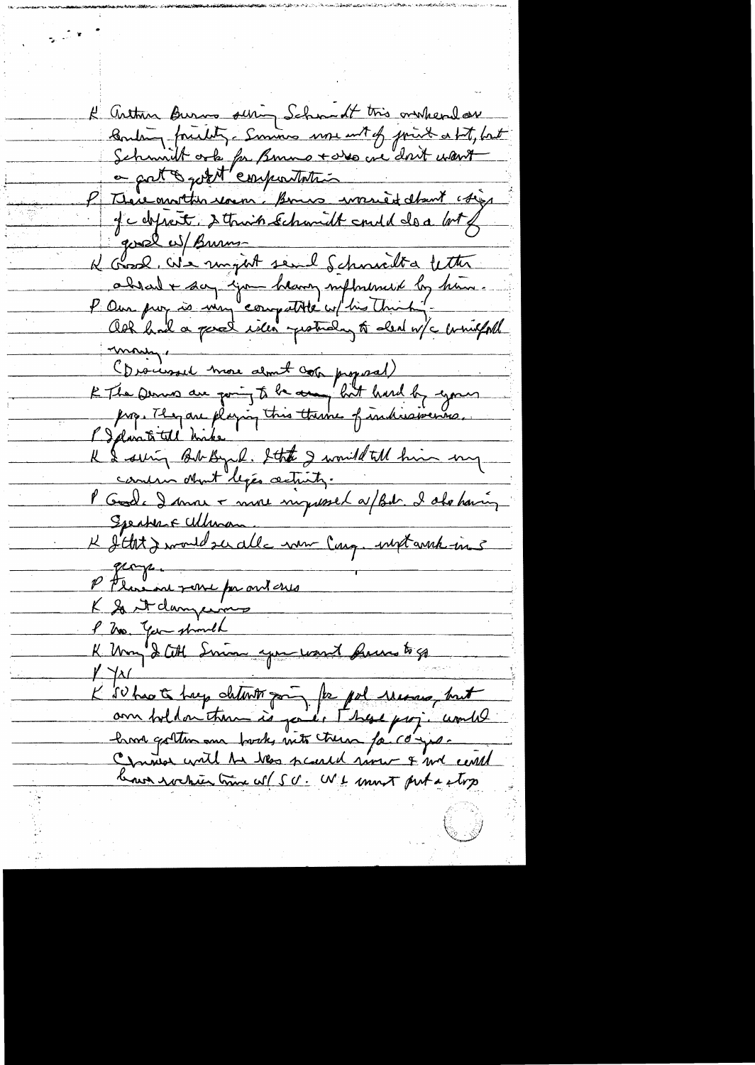K arthur Burns sering Schmedt tris orcheral are Boulang friendly. Summes use with friends a bit, but Schmitt orte for Bonno + des crédoit want a gat & good emportation P There another soun. Bonne would don't chief Je defrait, détroit échanit en 10 de a 1018 good w/ Burns absent + son jour heavy influenced by him. may (Diocessel more about cor proposal)<br>E The Derws are paring to be and hold by eyours<br>propositel hike this theme of individuance. I speran me man concin objet legée actintz. Speaker Fullman K Statz would su alle nom Carg. und anna in 5 P Florence par me mes P 200 Year should K Um & Citt Simon spontward frans to go  $\frac{1}{2}$   $\frac{1}{2}$ K 50 havet hey determin par for pol message, but hard gotten une forske mit treue fa compo.<br>Comment with the bes scarch rame & me centel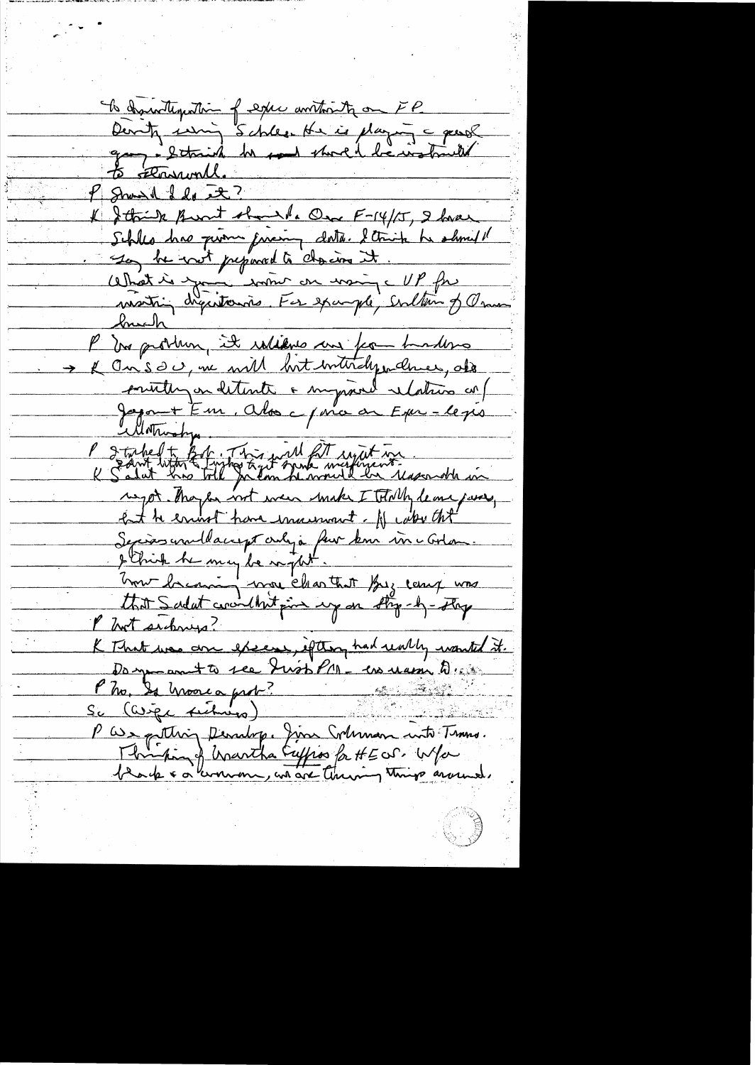To deprodlemation of expect and the one FP Denty using Schlee. He is playing a gentle gray : schrid he said short be instructed P Showed del et? & Strik Brout should One F-14/15, 2 have Schles has prome favoring data. I trink he should So be with prepared to chancers it Cethat is you some on moins et P fre P In problem, it rations and for hardens K On's 20, me will but intitaly underso de printing en ditente a surprise relation en /<br>Japon + Em. Alos c / ma ar Exer - legis Protoked to fart this will fit injut in report. They be not even make I Totally leave just, Ent to energy have increment. If when the Servis un Macrept crey à feur kom in cortan.<br>Débiut he may la raptit.<br>Unit dacourain mou clear that forz camp was that Sadat couldn't fine up on the -4- they Not suboug? K That was are excess, if they had unly wanted it. Damp antto see Just PM - ess massiv D. s. Pho, Is moore a prob? Sc (asige fictions) P We potting Penning. Jim Columan into Times. Thristing & Wartha Euffros for HE OS. Wfor black & a lumman, and are thereing things around.

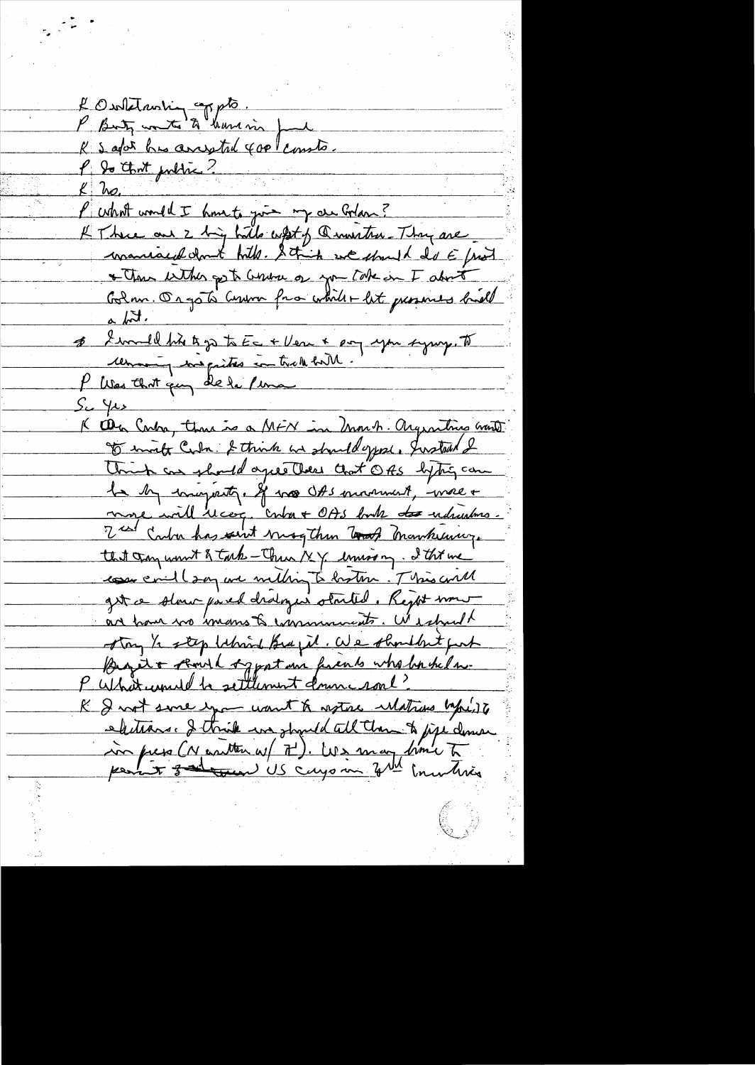l'Ourtetauring compte. K & agor his arrivated good consto. P. Do that public ?  $k$  hs. Purhal would I have to give my as Golan? K There are 2 big hills what of a muster Thy are maniaced don't hills. String we should do E front \* The with get contra of you take in I about Golm. Orgo to Cumm from which + let guesnies bill <u>a bit.</u> & I would like to go to Ec + Ver & poy you symp. To cemming we prites in trade bill. P Was that guy de le perma جدا کے مذک K Oba Carba, than is a MFN in Unonh. Organities want to invite Cuba & think and should oppose. Justead & Unit as should agree these that OBS lytig can le by imagesty. If was Oft somment, were a more will recog. Contra + OAS book to unhautous. I can carbon has saint mogther took mankeuver. that try won't & tack - There 1x 4 coming. I this we comer il soy are metting to brother. This will get a slaw pared draloger stouted. Reght wow an have no mans to community. We should stay 1/2 step Whind Brazil. We shouldn't put Begit & should sypation friends who bashed m. P What united to settlement down roal? K & not since you want & astoc ulations byperite electrons. I think we should all them to jipe deman in press (Neartten w/ 7). We may brown to